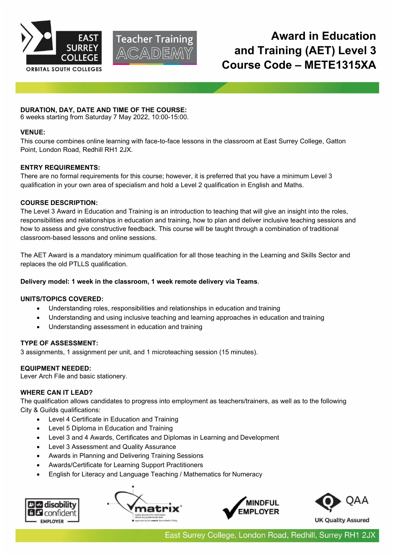



# **Award in Education and Training (AET) Level 3 Course Code – METE1315XA**

# **DURATION, DAY, DATE AND TIME OF THE COURSE:**

6 weeks starting from Saturday 7 May 2022, 10:00-15:00.

### **VENUE:**

This course combines online learning with face-to-face lessons in the classroom at East Surrey College, Gatton Point, London Road, Redhill RH1 2JX.

## **ENTRY REQUIREMENTS:**

There are no formal requirements for this course; however, it is preferred that you have a minimum Level 3 qualification in your own area of specialism and hold a Level 2 qualification in English and Maths.

## **COURSE DESCRIPTION:**

The Level 3 Award in Education and Training is an introduction to teaching that will give an insight into the roles, responsibilities and relationships in education and training, how to plan and deliver inclusive teaching sessions and how to assess and give constructive feedback. This course will be taught through a combination of traditional classroom-based lessons and online sessions.

The AET Award is a mandatory minimum qualification for all those teaching in the Learning and Skills Sector and replaces the old PTLLS qualification.

## **Delivery model: 1 week in the classroom, 1 week remote delivery via Teams**.

### **UNITS/TOPICS COVERED:**

- Understanding roles, responsibilities and relationships in education and training
- Understanding and using inclusive teaching and learning approaches in education and training
- Understanding assessment in education and training

### **TYPE OF ASSESSMENT:**

3 assignments, 1 assignment per unit, and 1 microteaching session (15 minutes).

### **EQUIPMENT NEEDED:**

Lever Arch File and basic stationery.

# **WHERE CAN IT LEAD?**

The qualification allows candidates to progress into employment as teachers/trainers, as well as to the following City & Guilds qualifications:

- Level 4 Certificate in Education and Training
- Level 5 Diploma in Education and Training
- Level 3 and 4 Awards, Certificates and Diplomas in Learning and Development
- Level 3 Assessment and Quality Assurance
- Awards in Planning and Delivering Training Sessions
- Awards/Certificate for Learning Support Practitioners
- English for Literacy and Language Teaching / Mathematics for Numeracy